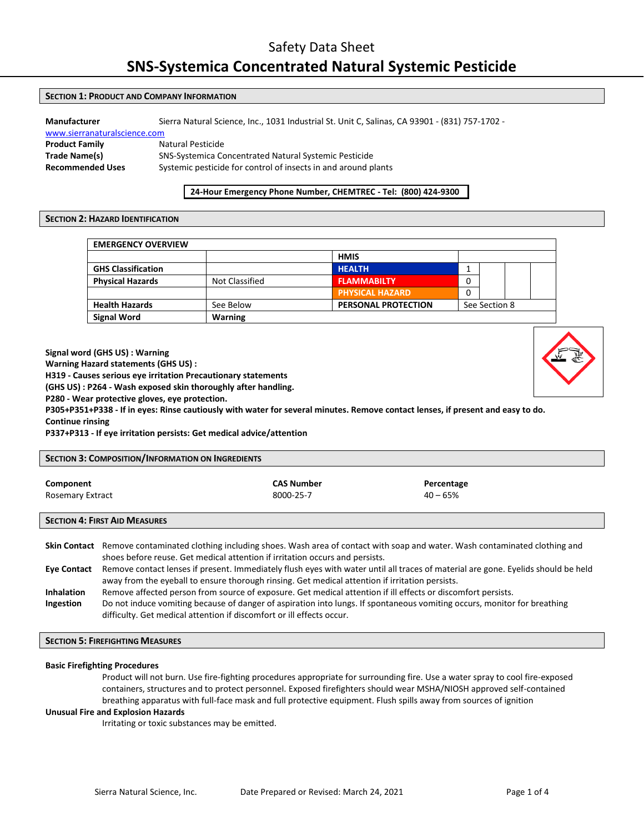# Safety Data Sheet **SNS-Systemica Concentrated Natural Systemic Pesticide**

#### **SECTION 1: PRODUCT AND COMPANY INFORMATION**

| Manufacturer                 | Sierra Natural Science, Inc., 1031 Industrial St. Unit C, Salinas, CA 93901 - (831) 757-1702 - |  |
|------------------------------|------------------------------------------------------------------------------------------------|--|
| www.sierranaturalscience.com |                                                                                                |  |
| <b>Product Family</b>        | Natural Pesticide                                                                              |  |
| Trade Name(s)                | SNS-Systemica Concentrated Natural Systemic Pesticide                                          |  |
| <b>Recommended Uses</b>      | Systemic pesticide for control of insects in and around plants                                 |  |

#### **24-Hour Emergency Phone Number, CHEMTREC - Tel: (800) 424-9300**

#### **SECTION 2: HAZARD IDENTIFICATION**

| <b>EMERGENCY OVERVIEW</b> |                |                            |   |               |  |
|---------------------------|----------------|----------------------------|---|---------------|--|
|                           |                | <b>HMIS</b>                |   |               |  |
| <b>GHS Classification</b> |                | <b>HEALTH</b>              | ┻ |               |  |
| <b>Physical Hazards</b>   | Not Classified | <b>FLAMMABILTY</b>         | 0 |               |  |
|                           |                | <b>PHYSICAL HAZARD</b>     | 0 |               |  |
| <b>Health Hazards</b>     | See Below      | <b>PERSONAL PROTECTION</b> |   | See Section 8 |  |
| <b>Signal Word</b>        | <b>Warning</b> |                            |   |               |  |

**Signal word (GHS US) : Warning**

**Warning Hazard statements (GHS US) :**

**H319 - Causes serious eye irritation Precautionary statements**

**(GHS US) : P264 - Wash exposed skin thoroughly after handling.**

**P280 - Wear protective gloves, eye protection.**

**P305+P351+P338 - If in eyes: Rinse cautiously with water for several minutes. Remove contact lenses, if present and easy to do. Continue rinsing**

**P337+P313 - If eye irritation persists: Get medical advice/attention**

### **SECTION 3: COMPOSITION/INFORMATION ON INGREDIENTS**

| Component                            | <b>CAS Number</b> | Percentage |  |
|--------------------------------------|-------------------|------------|--|
| Rosemary Extract                     | 8000-25-7         | $40 - 65%$ |  |
| <b>SECTION 4: FIRST AID MEASURES</b> |                   |            |  |

|                    | Skin Contact Remove contaminated clothing including shoes. Wash area of contact with soap and water. Wash contaminated clothing and |
|--------------------|-------------------------------------------------------------------------------------------------------------------------------------|
|                    | shoes before reuse. Get medical attention if irritation occurs and persists.                                                        |
| <b>Eye Contact</b> | Remove contact lenses if present. Immediately flush eyes with water until all traces of material are gone. Eyelids should be held   |
|                    | away from the eyeball to ensure thorough rinsing. Get medical attention if irritation persists.                                     |
| <b>Inhalation</b>  | Remove affected person from source of exposure. Get medical attention if ill effects or discomfort persists.                        |
| Ingestion          | Do not induce vomiting because of danger of aspiration into lungs. If spontaneous vomiting occurs, monitor for breathing            |
|                    | difficulty. Get medical attention if discomfort or ill effects occur.                                                               |

#### **SECTION 5: FIREFIGHTING MEASURES**

#### **Basic Firefighting Procedures**

Product will not burn. Use fire-fighting procedures appropriate for surrounding fire. Use a water spray to cool fire-exposed containers, structures and to protect personnel. Exposed firefighters should wear MSHA/NIOSH approved self-contained breathing apparatus with full-face mask and full protective equipment. Flush spills away from sources of ignition

#### **Unusual Fire and Explosion Hazards**

Irritating or toxic substances may be emitted.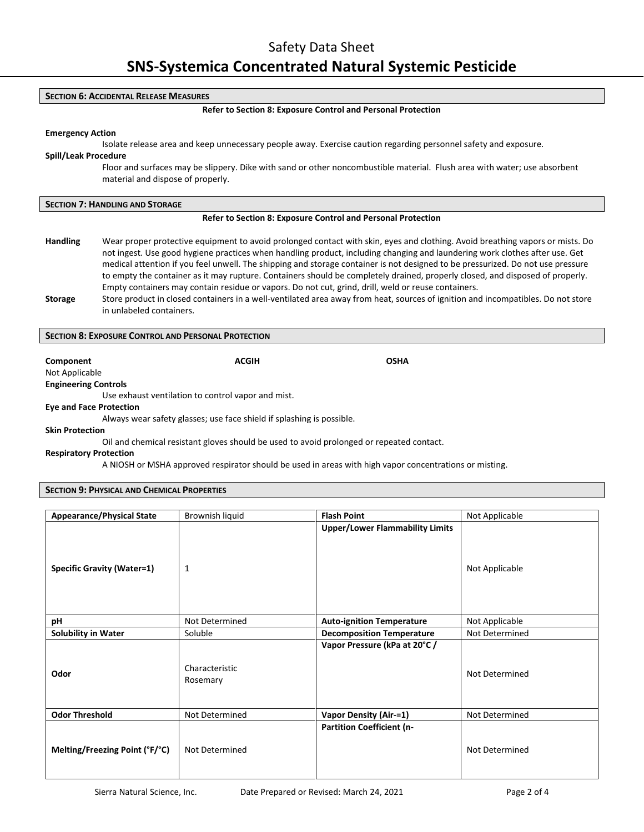#### **SECTION 6: ACCIDENTAL RELEASE MEASURES**

#### **Refer to Section 8: Exposure Control and Personal Protection**

#### **Emergency Action**

Isolate release area and keep unnecessary people away. Exercise caution regarding personnel safety and exposure.

#### **Spill/Leak Procedure**

Floor and surfaces may be slippery. Dike with sand or other noncombustible material. Flush area with water; use absorbent material and dispose of properly.

| <b>SECTION 7: HANDLING AND STORAGE</b> |  |
|----------------------------------------|--|
|----------------------------------------|--|

#### **Refer to Section 8: Exposure Control and Personal Protection**

- **Handling** Wear proper protective equipment to avoid prolonged contact with skin, eyes and clothing. Avoid breathing vapors or mists. Do not ingest. Use good hygiene practices when handling product, including changing and laundering work clothes after use. Get medical attention if you feel unwell. The shipping and storage container is not designed to be pressurized. Do not use pressure to empty the container as it may rupture. Containers should be completely drained, properly closed, and disposed of properly. Empty containers may contain residue or vapors. Do not cut, grind, drill, weld or reuse containers.
- **Storage** Store product in closed containers in a well-ventilated area away from heat, sources of ignition and incompatibles. Do not store in unlabeled containers.

#### **SECTION 8: EXPOSURE CONTROL AND PERSONAL PROTECTION**

**Component Component ACGIH COMPONENT COMPONENT OSHA** 

Not Applicable **Engineering Controls**

Use exhaust ventilation to control vapor and mist.

#### **Eye and Face Protection**

Always wear safety glasses; use face shield if splashing is possible.

#### **Skin Protection**

Oil and chemical resistant gloves should be used to avoid prolonged or repeated contact.

#### **Respiratory Protection**

A NIOSH or MSHA approved respirator should be used in areas with high vapor concentrations or misting.

#### **SECTION 9: PHYSICAL AND CHEMICAL PROPERTIES**

| <b>Appearance/Physical State</b>  | Brownish liquid            | <b>Flash Point</b>                     | Not Applicable |  |
|-----------------------------------|----------------------------|----------------------------------------|----------------|--|
| <b>Specific Gravity (Water=1)</b> | 1                          | <b>Upper/Lower Flammability Limits</b> | Not Applicable |  |
| рH                                | Not Determined             | <b>Auto-ignition Temperature</b>       | Not Applicable |  |
| <b>Solubility in Water</b>        | Soluble                    | <b>Decomposition Temperature</b>       | Not Determined |  |
| Odor                              | Characteristic<br>Rosemary | Vapor Pressure (kPa at 20°C /          | Not Determined |  |
| <b>Odor Threshold</b>             | Not Determined             | <b>Vapor Density (Air-=1)</b>          | Not Determined |  |
| Melting/Freezing Point (°F/°C)    | Not Determined             | <b>Partition Coefficient (n-</b>       | Not Determined |  |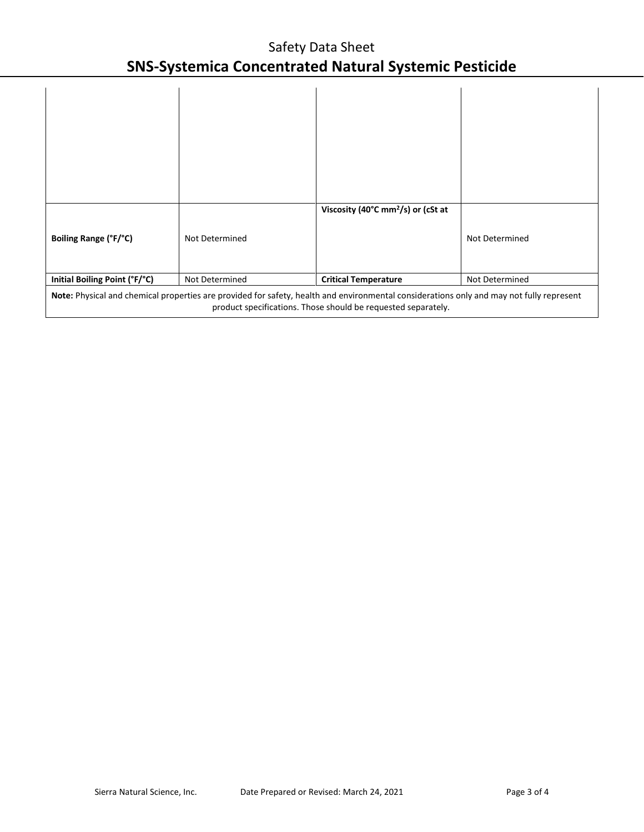# Safety Data Sheet **SNS-Systemica Concentrated Natural Systemic Pesticide**

| Boiling Range (°F/°C)                                                                                                                                                                                                                                                                                         | Not Determined | Viscosity (40 $^{\circ}$ C mm <sup>2</sup> /s) or (cSt at | Not Determined |
|---------------------------------------------------------------------------------------------------------------------------------------------------------------------------------------------------------------------------------------------------------------------------------------------------------------|----------------|-----------------------------------------------------------|----------------|
| Not Determined<br>Initial Boiling Point (°F/°C)<br><b>Critical Temperature</b><br>Not Determined<br>Note: Physical and chemical properties are provided for safety, health and environmental considerations only and may not fully represent<br>product specifications. Those should be requested separately. |                |                                                           |                |